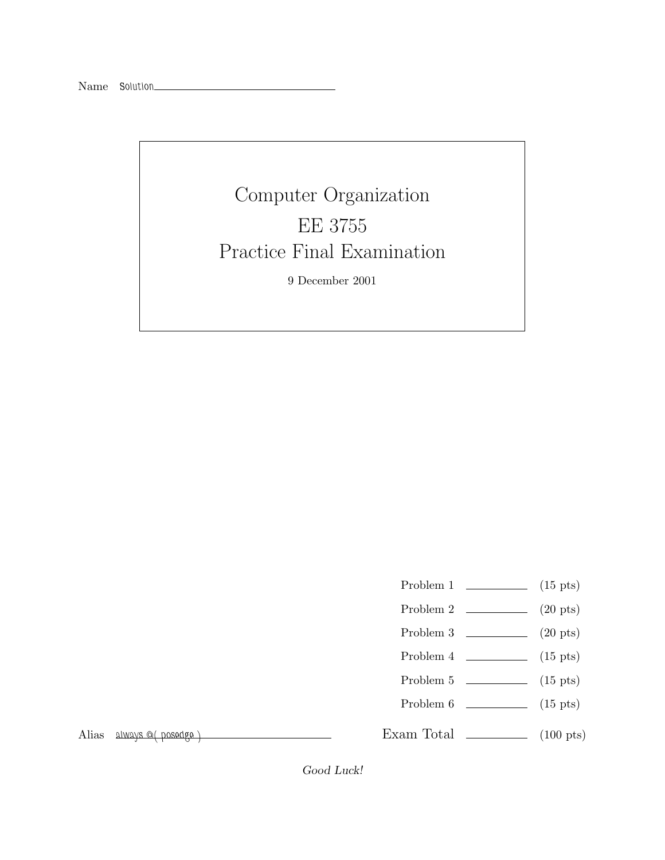## Computer Organization<br>EE 3755 Practice Final Examination Practice Final Examination 9 December 2001

- Problem 1  $\qquad \qquad$  (15 pts)
- Problem 2  $\qquad \qquad$  (20 pts)
- Problem 3 (20 pts)
- Problem 4  $\qquad \qquad$  (15 pts)
- Problem 5 (15 pts)
- Problem 6 (15 pts)

Alias *always @( posedge )*

Exam Total  $\qquad \qquad$  (100 pts)

*Good Luck!*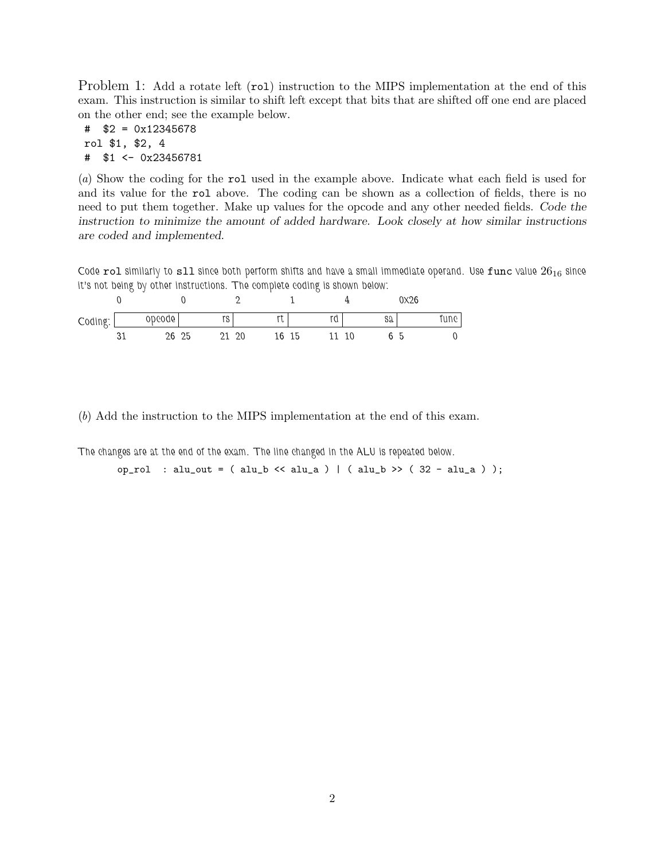Problem 1: Add a rotate left (rol) instruction to the MIPS implementation at the end of this exam. This instruction is similar to shift left except that bits that are shifted off one end are placed on the other end; see the example below.

# \$2 = 0x12345678 rol \$1, \$2, 4 # \$1 <- 0x23456781

(*a*) Show the coding for the rol used in the example above. Indicate what each field is used for and its value for the rol above. The coding can be shown as a collection of fields, there is no need to put them together. Make up values for the opcode and any other needed fields. *Code the instruction to minimize the amount of added hardware. Look closely at how similar instructions are coded and implemented.*

*Code* rol *similarly to* sll *since both perform shifts and have a small immediate operand. Use* func *value* 26<sup>16</sup> *since it's not being by other instructions. The complete coding is shown below:*

|         |            |        |          |    |          |       |   |    |    | 0X26 |       |
|---------|------------|--------|----------|----|----------|-------|---|----|----|------|-------|
| Coding: |            | opcode | ra<br>15 |    | r+<br>ιυ |       | u |    | Sa |      | une l |
|         | . כי<br>ບ⊥ | 26 25  |          | 20 |          | 16 15 |   | 10 |    | . ხ  |       |

(*b*) Add the instruction to the MIPS implementation at the end of this exam.

*The changes are at the end of the exam. The line changed in the ALU is repeated below.*

op\_rol : alu\_out = ( alu\_b << alu\_a ) | ( alu\_b >> ( 32 - alu\_a ) );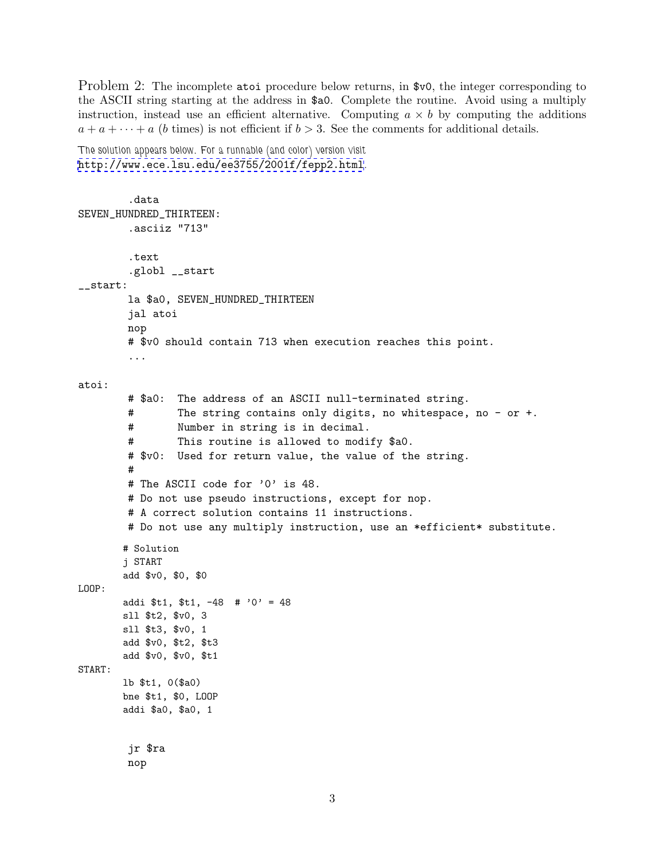Problem 2: The incomplete atoi procedure below returns, in \$v0, the integer corresponding to the ASCII string starting at the address in \$a0. Complete the routine. Avoid using a multiply instruction, instead use an efficient alternative. Computing  $a \times b$  by computing the additions  $a + a + \cdots + a$  (b times) is not efficient if  $b > 3$ . See the comments for additional details.

*The solution appears below. For a runnable (and color) version visit* <http://www.ece.lsu.edu/ee3755/2001f/fepp2.html>*.*

```
.data
SEVEN_HUNDRED_THIRTEEN:
        .asciiz "713"
        .text
        .globl __start
__start:
        la $a0, SEVEN_HUNDRED_THIRTEEN
        jal atoi
        nop
        # $v0 should contain 713 when execution reaches this point.
        ...
atoi:
        # $a0: The address of an ASCII null-terminated string.
        # The string contains only digits, no whitespace, no - or +.
        # Number in string is in decimal.
        # This routine is allowed to modify $a0.
        # $v0: Used for return value, the value of the string.
        #
        # The ASCII code for '0' is 48.
        # Do not use pseudo instructions, except for nop.
        # A correct solution contains 11 instructions.
        # Do not use any multiply instruction, use an *efficient* substitute.
       # Solution
       j START
       add $v0, $0, $0
LOOP:
       addi t_1, t_1, -48 # '0' = 48
       sll $t2, $v0, 3
       sll $t3, $v0, 1
       add $v0, $t2, $t3
       add $v0, $v0, $t1
START:
       lb $t1, 0($a0)
       bne $t1, $0, LOOP
       addi $a0, $a0, 1
        jr $ra
        nop
```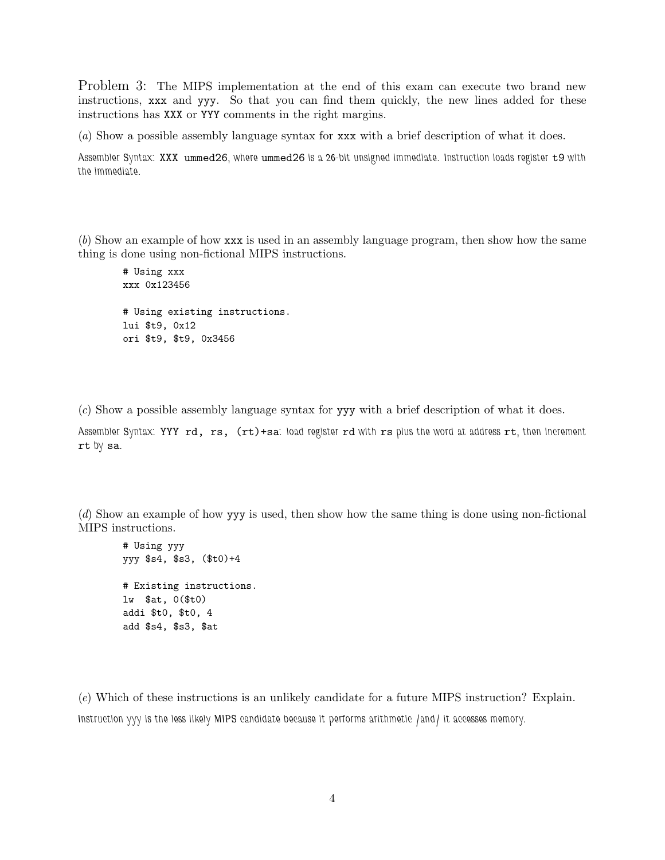Problem 3: The MIPS implementation at the end of this exam can execute two brand new instructions, xxx and yyy. So that you can find them quickly, the new lines added for these instructions has XXX or YYY comments in the right margins.

(*a*) Show a possible assembly language syntax for xxx with a brief description of what it does.

*Assembler Syntax:* XXX ummed26*, where* ummed26 *is a 26-bit unsigned immediate. Instruction loads register* t9 *with the immediate.*

(*b*) Show an example of how xxx is used in an assembly language program, then show how the same thing is done using non-fictional MIPS instructions.

# Using xxx xxx 0x123456 # Using existing instructions. lui \$t9, 0x12 ori \$t9, \$t9, 0x3456

(*c*) Show a possible assembly language syntax for yyy with a brief description of what it does.

*Assembler Syntax:* YYY rd, rs, (rt)+sa*: load register* rd *with* rs *plus the word at address* rt*, then increment* rt *by* sa*.*

(*d*) Show an example of how yyy is used, then show how the same thing is done using non-fictional MIPS instructions.

```
# Using yyy
yyy $s4, $s3, ($t0)+4
# Existing instructions.
lw $at, 0($t0)
addi $t0, $t0, 4
add $s4, $s3, $at
```
(*e*) Which of these instructions is an unlikely candidate for a future MIPS instruction? Explain. *Instruction yyy is the less likely MIPS candidate because it performs arithmetic /and/ it accesses memory.*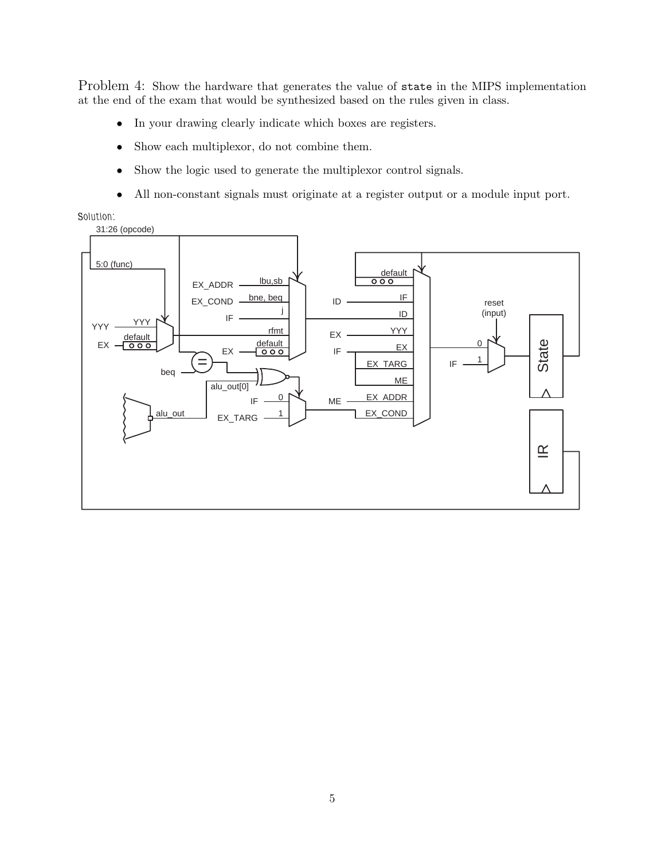Problem 4: Show the hardware that generates the value of state in the MIPS implementation at the end of the exam that would be synthesized based on the rules given in class.

- In your drawing clearly indicate which boxes are registers.
- Show each multiplexor, do not combine them.
- Show the logic used to generate the multiplexor control signals.
- All non-constant signals must originate at a register output or a module input port.

*Solution:*

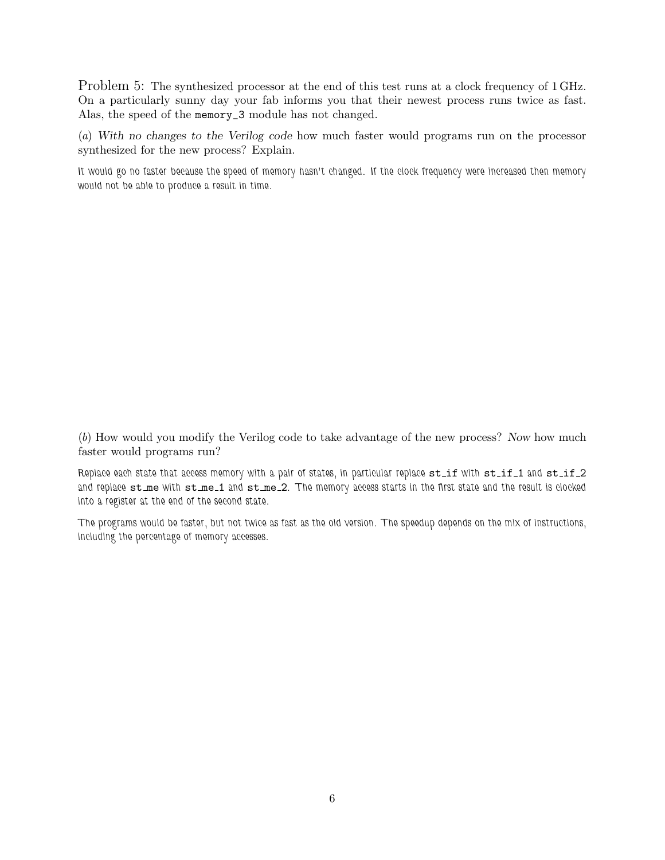Problem 5: The synthesized processor at the end of this test runs at a clock frequency of 1 GHz. On a particularly sunny day your fab informs you that their newest process runs twice as fast. Alas, the speed of the memory\_3 module has not changed.

(*a*) *With no changes to the Verilog code* how much faster would programs run on the processor synthesized for the new process? Explain.

*It would go no faster because the speed of memory hasn't changed. If the clock frequency were increased then memory would not be able to produce a result in time.*

(*b*) How would you modify the Verilog code to take advantage of the new process? *Now* how much faster would programs run?

*Replace each state that access memory with a pair of states, in particular replace*  $st_if$  with  $st_if_1$  and  $st_if_2$ *and replace* st me *with* st me 1 *and* st me 2*. The memory access starts in the first state and the result is clocked into a register at the end of the second state.*

*The programs would be faster, but not twice as fast as the old version. The speedup depends on the mix of instructions, including the percentage of memory accesses.*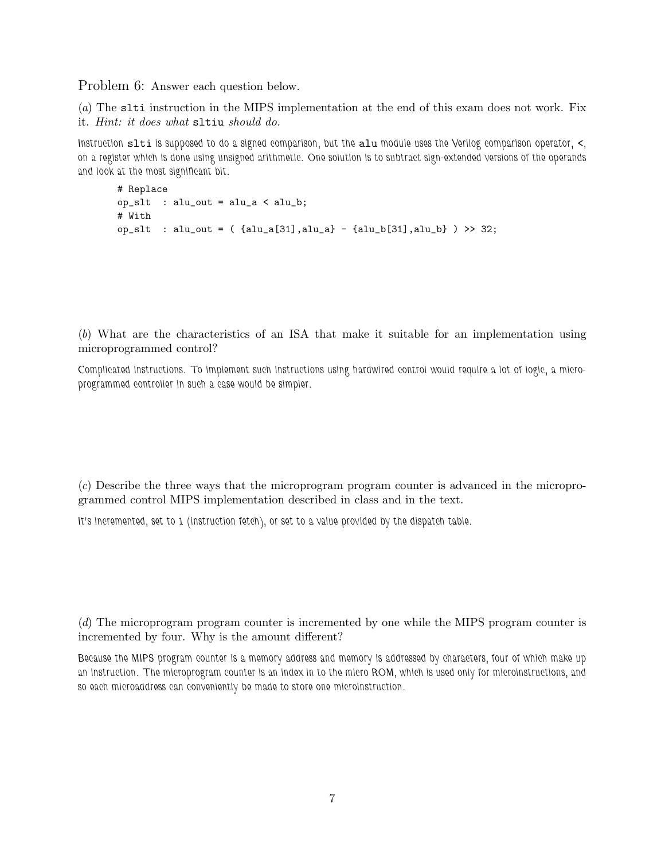Problem 6: Answer each question below.

(*a*) The slti instruction in the MIPS implementation at the end of this exam does not work. Fix it. *Hint: it does what* sltiu *should do.*

*Instruction* slti *is supposed to do a signed comparison, but the* alu *module uses the Verilog comparison operator,* <*, on a register which is done using unsigned arithmetic. One solution is to subtract sign-extended versions of the operands and look at the most significant bit.*

```
# Replace
op\_slt : alu_out = alu_a < alu_b;
# With
op_slt : alu_out = ( {alu_a[31],alu_a} - {alu_b[31],alu_b} ) >> 32;
```
(*b*) What are the characteristics of an ISA that make it suitable for an implementation using microprogrammed control?

*Complicated instructions. To implement such instructions using hardwired control would require a lot of logic, a microprogrammed controller in such a case would be simpler.*

(*c*) Describe the three ways that the microprogram program counter is advanced in the microprogrammed control MIPS implementation described in class and in the text.

*It's incremented, set to 1 (instruction fetch), or set to a value provided by the dispatch table.*

(*d*) The microprogram program counter is incremented by one while the MIPS program counter is incremented by four. Why is the amount different?

*Because the MIPS program counter is a memory address and memory is addressed by characters, four of which make up an instruction. The microprogram counter is an index in to the micro ROM, which is used only for microinstructions, and so each microaddress can conveniently be made to store one microinstruction.*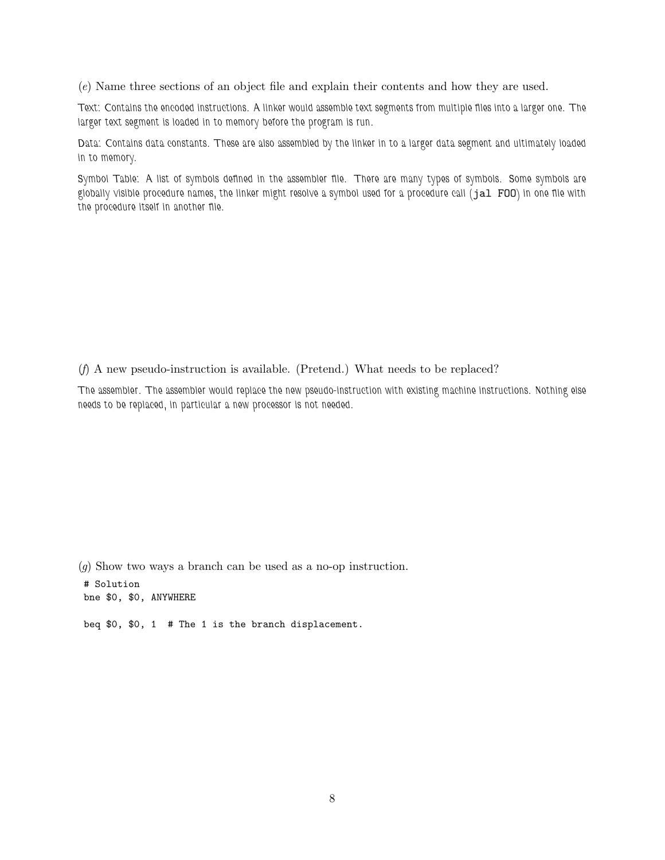(*e*) Name three sections of an object file and explain their contents and how they are used.

*Text: Contains the encoded instructions. A linker would assemble text segments from multiple files into a larger one. The larger text segment is loaded in to memory before the program is run.*

*Data: Contains data constants. These are also assembled by the linker in to a larger data segment and ultimately loaded in to memory.*

*Symbol Table: A list of symbols defined in the assembler file. There are many types of symbols. Some symbols are globally visible procedure names, the linker might resolve a symbol used for a procedure call (*jal FOO*) in one file with the procedure itself in another file.*

(*f*) A new pseudo-instruction is available. (Pretend.) What needs to be replaced?

*The assembler. The assembler would replace the new pseudo-instruction with existing machine instructions. Nothing else needs to be replaced, in particular a new processor is not needed.*

(*g*) Show two ways a branch can be used as a no-op instruction.

# Solution bne \$0, \$0, ANYWHERE

beq \$0, \$0, 1 # The 1 is the branch displacement.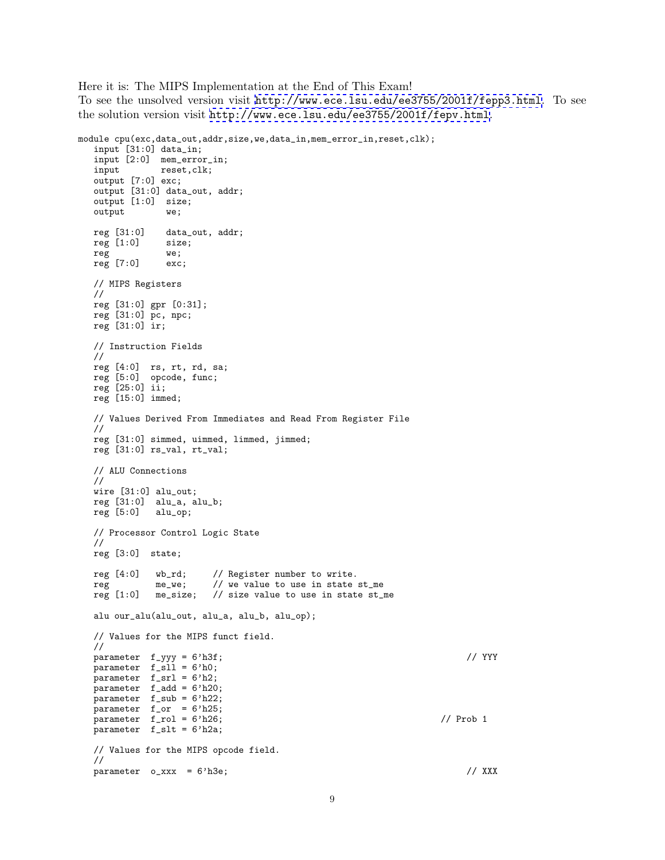Here it is: The MIPS Implementation at the End of This Exam! To see the unsolved version visit <http://www.ece.lsu.edu/ee3755/2001f/fepp3.html>. To see the solution version visit <http://www.ece.lsu.edu/ee3755/2001f/fepv.html>.

```
module cpu(exc,data_out,addr,size,we,data_in,mem_error_in,reset,clk);
  input [31:0] data_in;
  input [2:0] mem_error_in;
  input reset,clk;
  output [7:0] exc;
  output [31:0] data_out, addr;
  output [1:0] size;
  output we;
  reg [31:0] data_out, addr;<br>reg [1:0] size;
  reg [1:0]reg we;<br>reg [7:0] exc;
  reg [7:0]// MIPS Registers
  //
  reg [31:0] gpr [0:31];
   reg [31:0] pc, npc;
   reg [31:0] ir;
  // Instruction Fields
  //
   reg [4:0] rs, rt, rd, sa;
   reg [5:0] opcode, func;
  reg [25:0] ii;
  reg [15:0] immed;
  // Values Derived From Immediates and Read From Register File
  //
  reg [31:0] simmed, uimmed, limmed, jimmed;
  reg [31:0] rs_val, rt_val;
  // ALU Connections
  //
  wire [31:0] alu_out;
  reg [31:0] alu_a, alu_b;
  reg [5:0] alu_op;
  // Processor Control Logic State
  //
  reg [3:0] state;
  reg [4:0] wb_rd; // Register number to write.<br>reg me_we; // we value to use in state
  reg me_we; // we value to use in state st_me reg [1:0] me_size; // size value to use in state st_
              r = 1: \frac{1}{2} me_size; // size value to use in state st_me
  alu our_alu(alu_out, alu_a, alu_b, alu_op);
  // Values for the MIPS funct field.
  //
  parameter f_{-}yyy = 6'h3f; // YYY
  parameter f_sll = 6'h0;
  parameter f_srl = 6'h2;
   parameter f_add = 6'h20;
   parameter f_sub = 6'h22;
  parameter f_or = 6'h25;
  parameter f_rol = 6'h26; // Prob 1
  parameter f_slt = 6'h2a;
  // Values for the MIPS opcode field.
  //
  parameter \space o\_xxx = 6'h3e; // XXX
```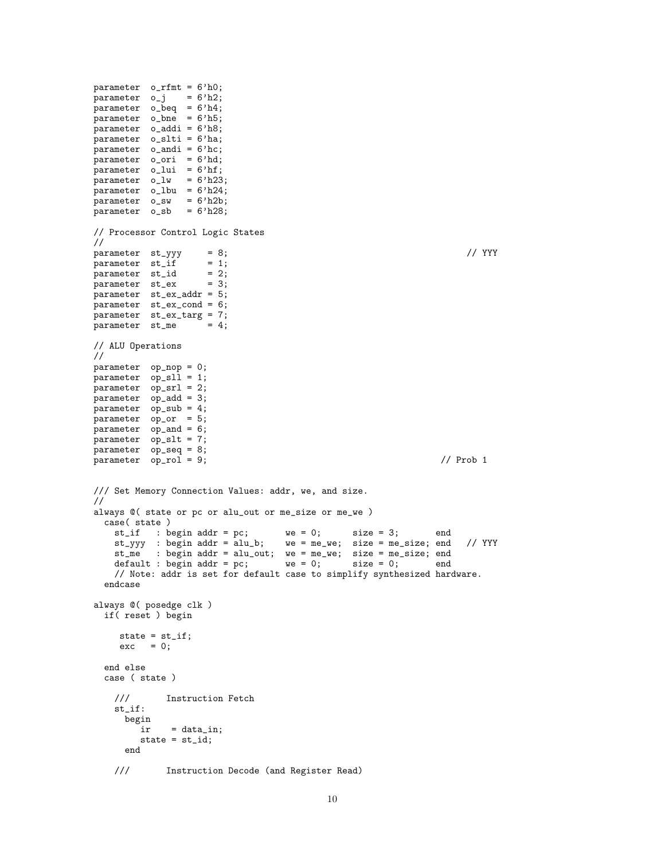parameter o\_rfmt = 6'h0;  $parameter$   $o_j$  =  $6'h2;$ parameter o\_beq = 6'h4; parameter o\_bne = 6'h5; parameter o\_addi = 6'h8; parameter o\_slti = 6'ha; parameter o\_andi = 6'hc; parameter o\_ori = 6'hd; parameter o\_lui = 6'hf;  $parameter$  o\_lw =  $6'h23;$  $parameter$  o\_1bu =  $6'h24$ ; parameter o\_sw = 6'h2b;  $parameter$  o\_sb =  $6'h28;$ // Processor Control Logic States // parameter st\_yyy = 8; // YYY  $parameter$  st\_if = 1;  $parameter$  st\_id = 2; parameter  $s_{L_1L_2}$  = 3; parameter st\_ex\_addr = 5; parameter st\_ex\_cond = 6; parameter st\_ex\_targ = 7;  $parameter$  st\_me = 4; // ALU Operations // parameter op\_nop = 0; parameter op\_sll = 1;  $parameter$  op\_srl = 2; parameter op\_add = 3; parameter  $op\_sub = 4;$ parameter op\_or = 5; parameter op\_and = 6; parameter op\_slt = 7; parameter op\_seq = 8;  $parameter$   $op\_rol$  = 9;  $//$  Prob 1 /// Set Memory Connection Values: addr, we, and size. // always @( state or pc or alu\_out or me\_size or me\_we ) case( state ) st\_if : begin addr = pc; we = 0; size = 3; end st\_yyy : begin addr = alu\_b; we = me\_we; size = me\_size; end // YYY st\_me : begin addr = alu\_out; we = me\_we; size = me\_size; end default : begin addr = pc; we = 0; size = 0; end // Note: addr is set for default case to simplify synthesized hardware. endcase always @( posedge clk ) if( reset ) begin state =  $st_if;$  $exc = 0;$ end else case ( state ) /// Instruction Fetch st\_if:  $\begin{array}{c}\texttt{begin}\texttt{ir}\end{array}$  $=$  data\_in; state = st\_id; end /// Instruction Decode (and Register Read)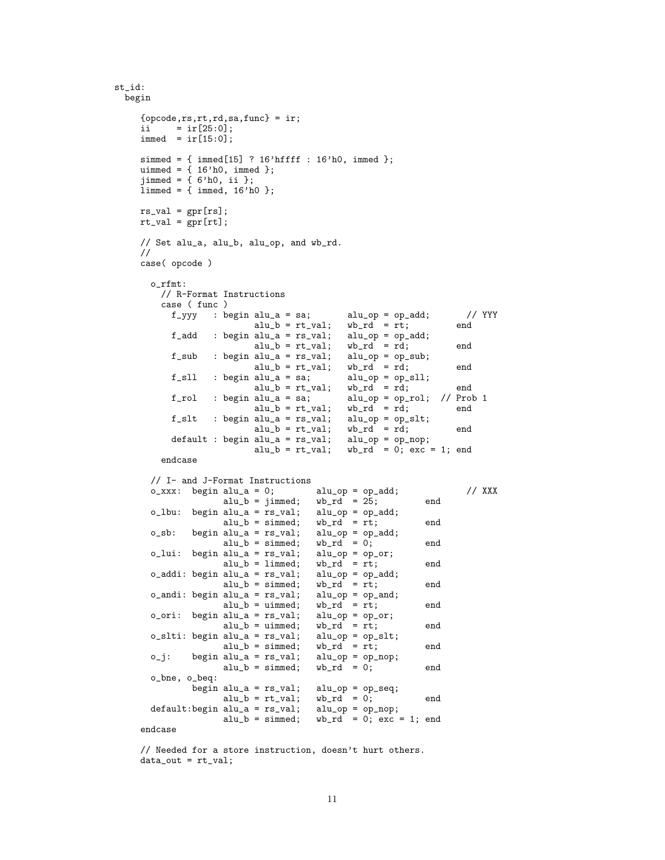```
st_id:
  begin
       {opcode,rs,rt,rd,sa,func} = ir;
       ii = ir[25:0];
       immed = ir[15:0];simmed = { immed[15] ? 16'hffff : 16'h0, immed };
       uimmed = {16'h0, immed};
       jimmed = { 6'h0, ii };
       limmed = {immed, 16'h0 };rs_val = gpr[rs];rt_val = gpr[rt];// Set alu_a, alu_b, alu_op, and wb_rd.
       //
       case( opcode )
          o_rfmt:
             // R-Format Instructions
             case ( func )<br>f_yyy : be
                            f: \begin{array}{lll} \hbox{begin all} \Delta = \text{sa}; & \text{all} \Delta = \text{op} = \text{op} \Delta \text{dd}; & \text{if } \Delta \text{Y} \text{YYY} \ \hbox{all } \Delta = \text{rt val}: & \text{wh } \text{rd} = \text{rt}: & \text{end} \end{array}alu_b = rt_val; wb_rd = rt;<br>alu_a = rs_val; alu_op = op_add;f\_add : begin alu\_a = rs\_val; alu\_op = op\_adv<br>alu\_b = rt\_val; wb\_rd = rd;alu_b = rt_val; wb_rd = rd; end<br>alu_a = rs_val; alu_op = op_sub;f_sub : begin alu_a = rs_val; alu_op = op_subjection alu_b = rt_val; wb_rd = rd;
                                       alu_b = rt_val; wb_rd = rd; end
                f_sll : begin alu_a = sa; alu_op = op_sll;<br>alu_b = rt_val; wb_rd = rd;
                                       alu_b = rt_val; wb_rd = rd; end<br>alu_a = sa; alu_op = op_rol; // Prob
                f_rol : begin alu_a = sa; alu_op = op_rol; // Prob 1<br>alu_b = rt_val; wb_rd = rd; end
                                       alu_b = rt_val; wb_rd = rd;
                f_slt : begin alu_a = rs\_val;<br>alu_b = rt\_val;
                                                                  alu\_op = op\_slt;<br>
wb\_rd = rd; end<br>
alu\_op = op\_nop;default : begin alu_a = rs\_val;<br>alu_b = rt\_val;
                                                                  wb\_rd = 0; exc = 1; end
             endcase
          // I- and J-Format Instructions
          o\_xxxx: begin alu_a = 0; alu_op = op_add; / XXX alu_b = jimmed; wb\_rd = 25; end
                              alu_b = jimmed; wb\_rd = 25;<br>alu_a = rs_val; alu_op = op_add;
          o_lbu: begin alu_a = rs\_val;<br>alu_b = simmed;
                                                         wb\_rd = rt; end
          o_sb: begin alu_a = rs\_val;<br>alu_b = simmed;
                                                         \begin{array}{ll}\n\text{all\_op = op\_add;} \\
\text{wb\_rd = 0;} \\
\text{all\_op = op\_or;} \\
\end{array}o_lui: begin alu_a = rs_lval;alu_b = limmed; wb_rd = rt; end<br>alu_a = rs_val; alu_op = op_add;o_addi: begin alu_a = rs\_val; alu_op = op_i<br>alu_b = simmed; wb_rd = rt;
                               alu_b = simmed; wb_r d = rt; end
          o_andi: begin alu_a = rs\_val; alu_op = op_and;<br>alu_b = uimmed; wb_rd = rt;
                              alu_b = uimmed; wb_rd = rt; end
          o\_ori: begin alu_a = rs\_val; alu_op = op\_or;<br>alu_b = uimmed; wb_rd = rt;
                               alu_b = uimmed; \quad wb_r d = rt; \quad endo_slti: begin alu_a = rs\_val; alu_op = op\_slt;<br>alu_b = simmed; wb_rd = rt;
                               alu_b = simmed; wb\_rd = rt; end<br>alu_a = rs\_val; alu_op = op\_nop;o_j: begin alu_a = rs_val; alu_op = op<br>alu_b = simmed; wb_rd = 0;
                               alu_b = simmed; wb_r d = 0; end
          o_bne, o_beq:
                      begin alu_a = rs\_val; alu_op = op\_seq;<br>alu_b = rt\_val; wb_rd = 0;
                              alu_b = rt_val; wb_rd = 0; end<br>alu_a = rs_val; alu_op = op_nop;default:begin alu_a = rs\_val;<br>alu_b = simmed;
                                                         wb\_rd = 0; exc = 1; end
       endcase
```
// Needed for a store instruction, doesn't hurt others. data\_out = rt\_val;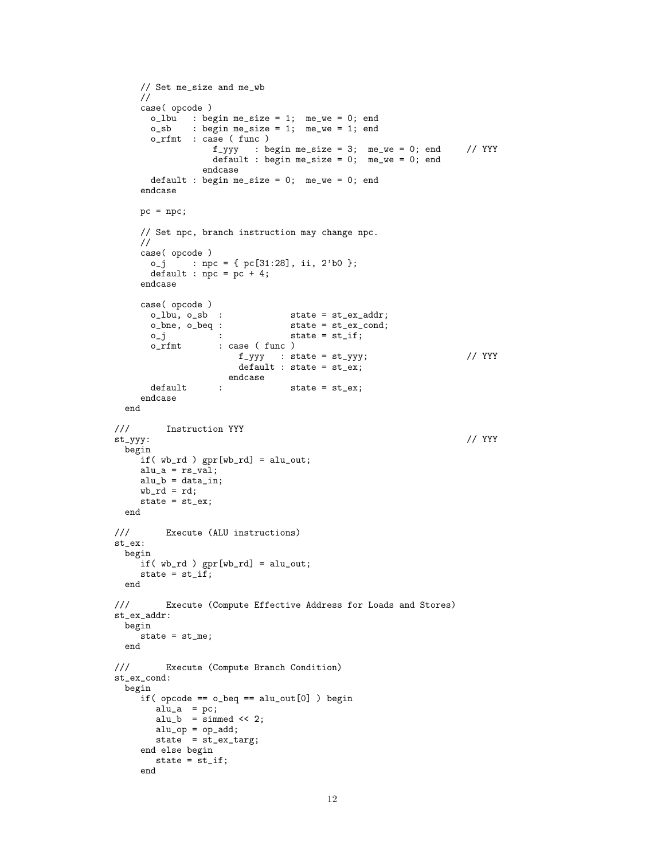```
// Set me_size and me_wb
    //
    case( opcode )
      o_lbu : begin me_size = 1; me_we = 0; end
      o_sb : begin me_size = 1; me_we = 1; end
      o_rfmt : case ( func )
                  f_yyy : begin me_size = 3; me_we = 0; end // YYY
                  default : begin me_size = 0; me_we = 0; end
               endcase
      default : begin me_size = 0; me_we = 0; end
    endcase
    pc = npc;
    // Set npc, branch instruction may change npc.
    //
    case( opcode )
      o_j : npc = { pc[31:28], ii, 2'b0 };
      default : \text{nc} = \text{pc} + 4;
    endcase
    case(opcode)<br>o_lbu, o_sb :
                               state = st_ex\_addr;o_bne, o_beq : state = st_ex_cond;
      o_j : state = st_if;<br>o_rfmt : case (func)
                  : case ( func )
                     f_yyy : state = st_yyy; // YYY
                      default : state = st_ex;
                    endcase
      default : state = st_ex;
    endcase
 end
/// Instruction YYY<br>st_yyy:
st_yyy: // YYY
 begin
    if( wb_rd ) gpr[wb_rd] = alu_out;
    alu_a = rs<sub>_val</sub>;
    alu_b = data_in;wb\_rd = rd;state = st_ex;
 end
/// Execute (ALU instructions)
st_ex:
 begin
    if( wb_rd ) gpr[wb_rd] = alu_out;
    state = st\_if;
 end
/// Execute (Compute Effective Address for Loads and Stores)
st_ex_addr:
 begin
    state = st_me;
 end
/// Execute (Compute Branch Condition)
st_ex_cond:
 begin
    if( opcode == o_beq == alu_out[0] ) begin
       alu_a = pc;
       alu_b = \sin \theta \ll 2;
       alu_op = op\_add;state = st_ex\_targ;end else begin
      state = st_if;end
```